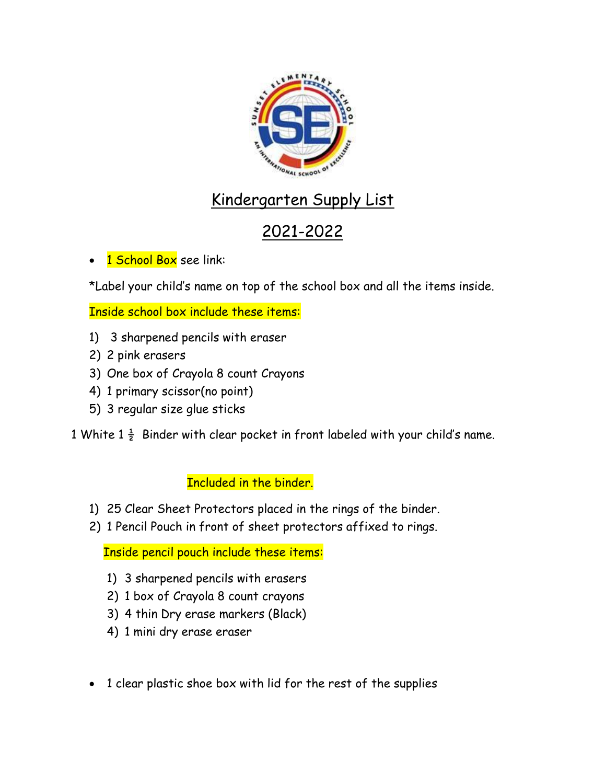

## Kindergarten Supply List

## 2021-2022

1 School Box see link:

\*Label your child's name on top of the school box and all the items inside.

Inside school box include these items:

- 1) 3 sharpened pencils with eraser
- 2) 2 pink erasers
- 3) One box of Crayola 8 count Crayons
- 4) 1 primary scissor(no point)
- 5) 3 regular size glue sticks

1 White  $1\frac{1}{2}$  Binder with clear pocket in front labeled with your child's name.

## Included in the binder.

- 1) 25 Clear Sheet Protectors placed in the rings of the binder.
- 2) 1 Pencil Pouch in front of sheet protectors affixed to rings.

Inside pencil pouch include these items:

- 1) 3 sharpened pencils with erasers
- 2) 1 box of Crayola 8 count crayons
- 3) 4 thin Dry erase markers (Black)
- 4) 1 mini dry erase eraser
- 1 clear plastic shoe box with lid for the rest of the supplies